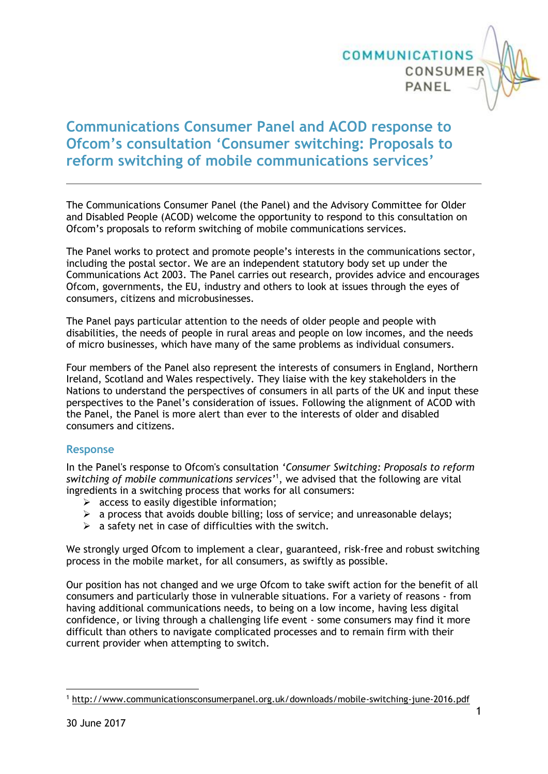

## **Communications Consumer Panel and ACOD response to Ofcom's consultation 'Consumer switching: Proposals to reform switching of mobile communications services'**

The Communications Consumer Panel (the Panel) and the Advisory Committee for Older and Disabled People (ACOD) welcome the opportunity to respond to this consultation on Ofcom's proposals to reform switching of mobile communications services.

The Panel works to protect and promote people's interests in the communications sector, including the postal sector. We are an independent statutory body set up under the Communications Act 2003. The Panel carries out research, provides advice and encourages Ofcom, governments, the EU, industry and others to look at issues through the eyes of consumers, citizens and microbusinesses.

The Panel pays particular attention to the needs of older people and people with disabilities, the needs of people in rural areas and people on low incomes, and the needs of micro businesses, which have many of the same problems as individual consumers.

Four members of the Panel also represent the interests of consumers in England, Northern Ireland, Scotland and Wales respectively. They liaise with the key stakeholders in the Nations to understand the perspectives of consumers in all parts of the UK and input these perspectives to the Panel's consideration of issues. Following the alignment of ACOD with the Panel, the Panel is more alert than ever to the interests of older and disabled consumers and citizens.

## **Response**

In the Panel's response to Ofcom's consultation *'Consumer Switching: Proposals to reform switching of mobile communications services'*<sup>1</sup> , we advised that the following are vital ingredients in a switching process that works for all consumers:

- $\triangleright$  access to easily digestible information;
- $\triangleright$  a process that avoids double billing; loss of service; and unreasonable delays;
- $\triangleright$  a safety net in case of difficulties with the switch.

We strongly urged Ofcom to implement a clear, guaranteed, risk-free and robust switching process in the mobile market, for all consumers, as swiftly as possible.

Our position has not changed and we urge Ofcom to take swift action for the benefit of all consumers and particularly those in vulnerable situations. For a variety of reasons - from having additional communications needs, to being on a low income, having less digital confidence, or living through a challenging life event - some consumers may find it more difficult than others to navigate complicated processes and to remain firm with their current provider when attempting to switch.

<sup>1</sup> <sup>1</sup> <http://www.communicationsconsumerpanel.org.uk/downloads/mobile-switching-june-2016.pdf>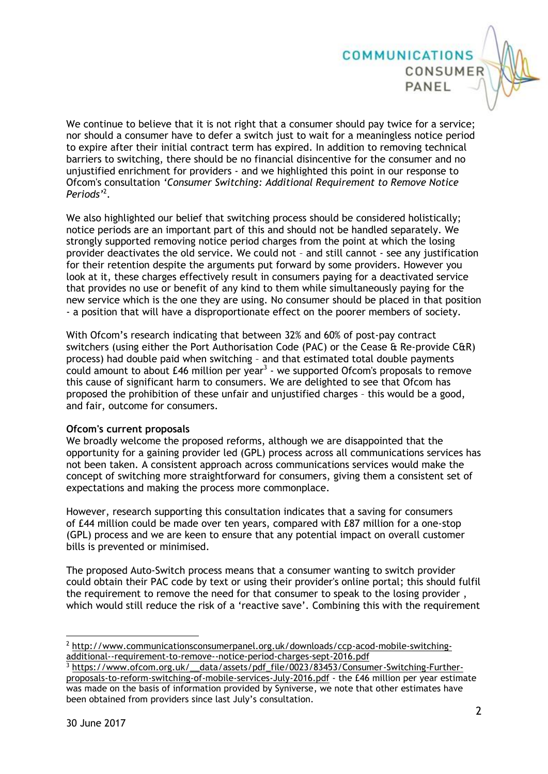We continue to believe that it is not right that a consumer should pay twice for a service; nor should a consumer have to defer a switch just to wait for a meaningless notice period to expire after their initial contract term has expired. In addition to removing technical barriers to switching, there should be no financial disincentive for the consumer and no unjustified enrichment for providers - and we highlighted this point in our response to Ofcom's consultation *'Consumer Switching: Additional Requirement to Remove Notice Periods'* 2 .

**COMMUNICATIONS** 

CONSUMER

PANEL

We also highlighted our belief that switching process should be considered holistically; notice periods are an important part of this and should not be handled separately. We strongly supported removing notice period charges from the point at which the losing provider deactivates the old service. We could not – and still cannot - see any justification for their retention despite the arguments put forward by some providers. However you look at it, these charges effectively result in consumers paying for a deactivated service that provides no use or benefit of any kind to them while simultaneously paying for the new service which is the one they are using. No consumer should be placed in that position - a position that will have a disproportionate effect on the poorer members of society.

With Ofcom's research indicating that between 32% and 60% of post-pay contract switchers (using either the Port Authorisation Code (PAC) or the Cease & Re-provide C&R) process) had double paid when switching – and that estimated total double payments could amount to about  $£46$  million per year<sup>3</sup> - we supported Ofcom's proposals to remove this cause of significant harm to consumers. We are delighted to see that Ofcom has proposed the prohibition of these unfair and unjustified charges – this would be a good, and fair, outcome for consumers.

## **Ofcom's current proposals**

We broadly welcome the proposed reforms, although we are disappointed that the opportunity for a gaining provider led (GPL) process across all communications services has not been taken. A consistent approach across communications services would make the concept of switching more straightforward for consumers, giving them a consistent set of expectations and making the process more commonplace.

However, research supporting this consultation indicates that a saving for consumers of £44 million could be made over ten years, compared with £87 million for a one-stop (GPL) process and we are keen to ensure that any potential impact on overall customer bills is prevented or minimised.

The proposed Auto-Switch process means that a consumer wanting to switch provider could obtain their PAC code by text or using their provider's online portal; this should fulfil the requirement to remove the need for that consumer to speak to the losing provider , which would still reduce the risk of a 'reactive save'. Combining this with the requirement

1

<sup>2</sup> [http://www.communicationsconsumerpanel.org.uk/downloads/ccp-acod-mobile-switching](http://www.communicationsconsumerpanel.org.uk/downloads/ccp-acod-mobile-switching-additional--requirement-to-remove--notice-period-charges-sept-2016.pdf)[additional--requirement-to-remove--notice-period-charges-sept-2016.pdf](http://www.communicationsconsumerpanel.org.uk/downloads/ccp-acod-mobile-switching-additional--requirement-to-remove--notice-period-charges-sept-2016.pdf)

<sup>&</sup>lt;sup>3</sup> https://www.ofcom.org.uk/\_data/assets/pdf\_file/0023/83453/Consumer-Switching-Further[proposals-to-reform-switching-of-mobile-services-July-2016.pdf](https://www.ofcom.org.uk/__data/assets/pdf_file/0023/83453/Consumer-Switching-Further-proposals-to-reform-switching-of-mobile-services-July-2016.pdf) - the £46 million per year estimate was made on the basis of information provided by Syniverse, we note that other estimates have been obtained from providers since last July's consultation.